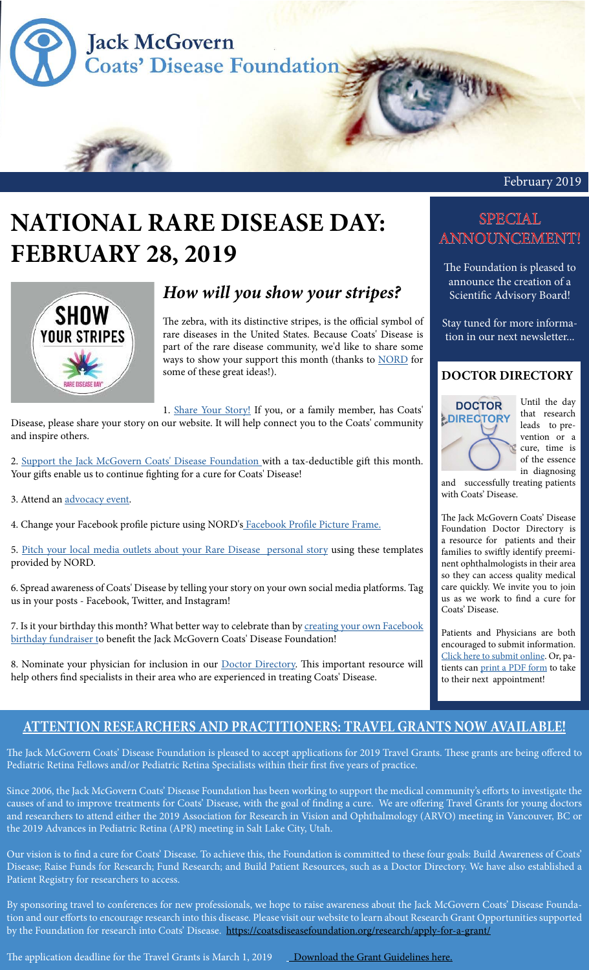

# **NATIONAL RARE DISEASE DAY: FEBRUARY 28, 2019**



## *How will you show your stripes?*

The zebra, with its distinctive stripes, is the official symbol of rare diseases in the United States. Because Coats' Disease is part of the rare disease community, we'd like to share some ways to show your support this month (thanks to [NORD](https://rarediseases.org/) for some of these great ideas!).

1. [Share Your Story!](https://coatsdiseasefoundation.org/contact-us/share-your-coats-story/) If you, or a family member, has Coats'

Disease, please share your story on our website. It will help connect you to the Coats' community and inspire others.

2. [Support the Jack McGovern Coats' Disease Foundation](https://coatsdiseasefoundation.org/donate/) with a tax-deductible gift this month. Your gifts enable us to continue fighting for a cure for Coats' Disease!

3. Attend an [advocacy event](https://rareaction.org/resources-for-advocates/state-profiles/).

4. Change your Facebook profile picture using NORD's [Facebook Profile Picture Frame](https://www.facebook.com/profilepicframes/?selected_overlay_id=1836382039840057).

5. [Pitch your local media outlets about your Rare Disease personal story](https://rarediseases.org/rare-disease-day/get-involved/#download-materials) using these templates provided by NORD.

6. Spread awareness of Coats' Disease by telling your story on your own social media platforms. Tag us in your posts - Facebook, Twitter, and Instagram!

7. Is it your birthday this month? What better way to celebrate than by creating your own Facebook [birthday fundraiser t](https://www.facebook.com/help/990087377765844)o benefit the Jack McGovern Coats' Disease Foundation!

8. Nominate your physician for inclusion in our **Doctor Directory**. This important resource will help others find specialists in their area who are experienced in treating Coats' Disease.

## SPECIAL ANNOUNCEMENT!

The Foundation is pleased to announce the creation of a Scientific Advisory Board!

Stay tuned for more information in our next newsletter...

### **DOCTOR DIRECTORY**



Until the day that research leads to prevention or a cure, time is of the essence in diagnosing

and successfully treating patients with Coats' Disease.

The Jack McGovern Coats' Disease Foundation Doctor Directory is a resource for patients and their families to swiftly identify preeminent ophthalmologists in their area so they can access quality medical care quickly. We invite you to join us as we work to find a cure for Coats' Disease.

Patients and Physicians are both encouraged to submit information. [Click here to submit online](https://coatsdiseasefoundation.org/doctor-directory-form/). Or, patients can [print a PDF form](https://coatsdiseasefoundation.org/wp-content/uploads/Doctor-Directory-Form_print.pdf) to take to their next appointment!

## **ATTENTION RESEARCHERS AND PRACTITIONERS: TRAVEL GRANTS NOW AVAILABLE!**

The Jack McGovern Coats' Disease Foundation is pleased to accept applications for 2019 Travel Grants. These grants are being offered to Pediatric Retina Fellows and/or Pediatric Retina Specialists within their first five years of practice.

Since 2006, the Jack McGovern Coats' Disease Foundation has been working to support the medical community's efforts to investigate the causes of and to improve treatments for Coats' Disease, with the goal of finding a cure. We are offering Travel Grants for young doctors and researchers to attend either the 2019 Association for Research in Vision and Ophthalmology (ARVO) meeting in Vancouver, BC or the 2019 Advances in Pediatric Retina (APR) meeting in Salt Lake City, Utah.

Our vision is to find a cure for Coats' Disease. To achieve this, the Foundation is committed to these four goals: Build Awareness of Coats' Disease; Raise Funds for Research; Fund Research; and Build Patient Resources, such as a Doctor Directory. We have also established a Patient Registry for researchers to access.

By sponsoring travel to conferences for new professionals, we hope to raise awareness about the Jack McGovern Coats' Disease Foundation and our efforts to encourage research into this disease. Please visit our website to learn about Research Grant Opportunities supported by the Foundation for research into Coats' Disease. <https://coatsdiseasefoundation.org/research/apply-for-a-grant/>

The application deadline for the Travel Grants is March 1, 2019 Lownload the Grant Guidelines here.